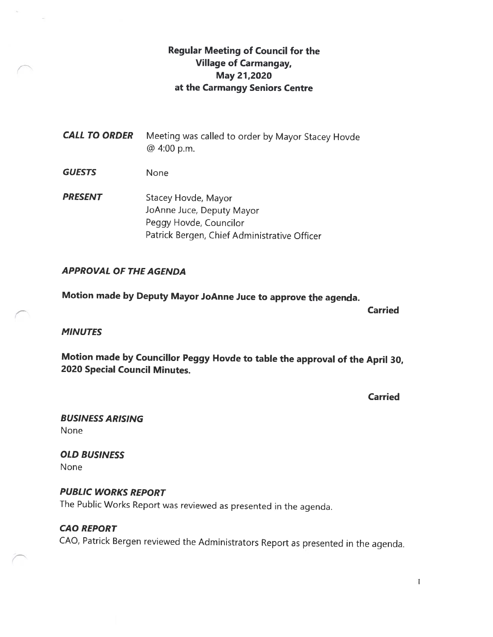## Regular Meeting of Council for the Village of Carmangay, May 27,2020 at the Carmangy Seniors Centre

**CALL TO ORDER** Meeting was called to order by Mayor Stacey Hovde @ 4:00 p.m.

GUESTS None

**PRESENT** Stacey Hovde, Mayor JoAnne Juce, Deputy Mayor Peggy Hovde, Councilor Patrick Bergen, Chief Administrative Officer

#### APPROVAL OF THE AGENDA

Motion made by Deputy Mayor JoAnne Juce to approve the agenda.

Carried

#### **MINUTES**

Motion made by Councillor Peggy Hovde to table the approval of the April 30, 2020 Special Council Minutes.

**Carried** 

BUSINESS ARISING None

OLD BUSINESS None

PUBLIC WORKS REPORT The Public Works Report was reviewed as presented in the agenda.

# CAO REPORT CAO, Patrick Bergen reviewed the Administrators Report as presented in the agenda.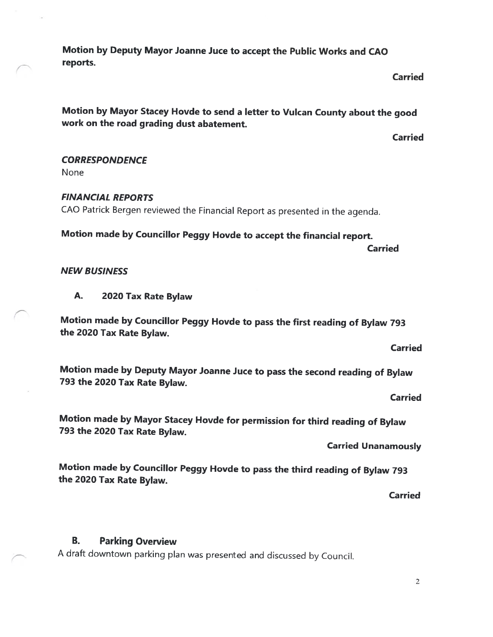Motion by Deputy Mayor Joanne Juce to accept the Public Works and CAO reports.

#### Carried

Motion by Mayor Stacey Hovde to send <sup>a</sup> letter to Vulcan County about the good work on the road grading dust abatement.

Carried

#### **CORRESPONDENCE**

None

# FINANCIAL REPORTS

CAO Patrick Bergen reviewed the Financial Report as presented in the agenda.

# Motion made by Councillor Peggy Hovde to accept the financial report.

Carried

#### NEW BUSINESS

#### A. <sup>2020</sup> Tax Rate Bylaw

Motion made by Councillor Peggy Hovde to pass the first reading of Bylaw <sup>793</sup> the 2020 Tax Rate Bylaw.

Carried

Motion made by Deputy Mayor Joanne Juce to pass the second reading of Bylaw <sup>793</sup> the <sup>2020</sup> Tax Rate Bylaw.

Carried

Motion made by Mayor Stacey Hovde for permission for third reading of Bylaw <sup>793</sup> the 2020 Tax Rate Bylaw.

Carried Unanamously

Motion made by Councillor Peggy Hovde to pass the third reading of Bylaw <sup>793</sup> the <sup>2020</sup> Tax Rate Bylaw.

**Carried** 

### B. Parking Overview

<sup>A</sup> draft downtown parking <sup>p</sup>lan was presented and discussed by Council.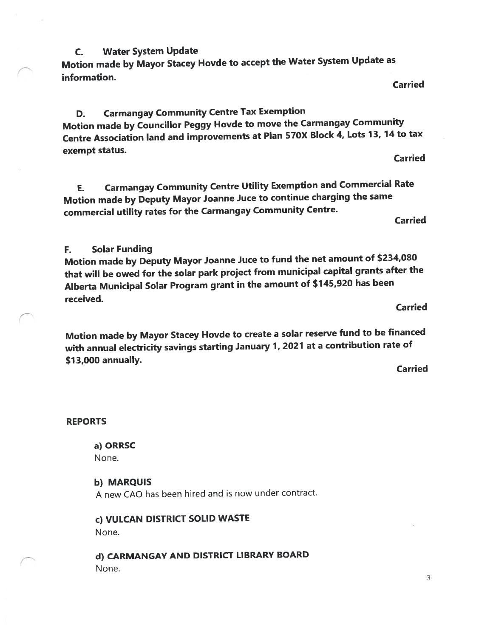C. Water System Update Motion made by Mayor Stacey Hovde to accep<sup>t</sup> the Water System Update as information. Carried

D. Carmangay Community Centre Tax Exemption Motion made by Councillor Peggy Hovde to move the Carmangay Community Centre Association land and improvements at Plan 570X Block 4, Lots 13, <sup>14</sup> to tax exempt status. Carried

E. Carmangay Community Centre Utility Exemption and Commercial Rate Motion made by Deputy Mayor Joanne Juce to continue charging the same commercial utility rates for the Carmangay Community Centre.

Carried

#### F. Solar Funding

Motion made by Deputy Mayor Joanne Juce to fund the net amount of \$234,080 that will be owed for the solar park project from municipal capital grants after the Alberta Municipal Solar Program gran<sup>t</sup> in the amount of \$745,920 has been received.

Carried

Motion made by Mayor Stacey Hovde to create <sup>a</sup> solar reserve fund to be financed with annual electricity savings starting January 1, <sup>2021</sup> at <sup>a</sup> contribution rate of \$73,000 annually.

Carried

#### REPORTS

a) ORRSC

None.

#### b) MARQUIS

A new CAO has been hired and is now under contract.

c) VULCAN DISTRICT SOLID WASTE None.

d) CARMANGAY AND DISTRICT LIBRARY BOARD None.

j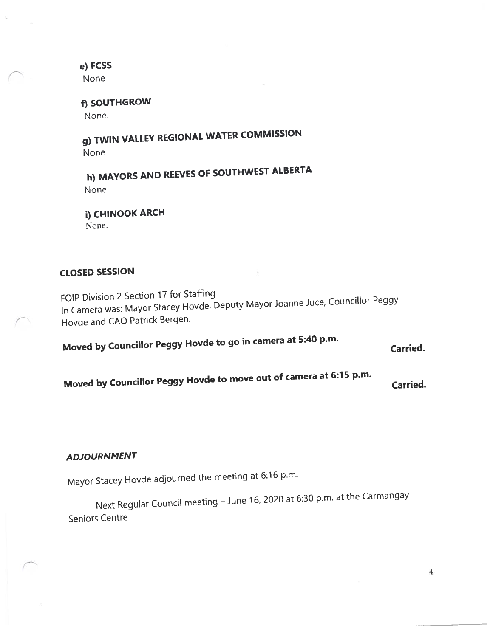e) FCSS None

f) SOUTHGROW None.

g) TWIN VALLEY REGIONAL WATER COMMISSION None

h) MAYORS AND REEVES OF SOUTHWEST ALBERTA None

i) CHINOOK ARCH None.

## CLOSED SESSION

FOIP Division <sup>2</sup> Section <sup>17</sup> for Staffing In Camera was: Mayor Stacey Hovde, Deputy Mayor Joanne Juce, Councillor Peggy Hovde and CAO Patrick Bergen.

Moved by Councillor Peggy Hovde to go in camera at 5:40 p.m.

Carried.

Moved by Councillor Peggy Hovde to move out of camera at 6:15 p.m. Carried.

#### ADJOURNMENT

Mayor Stacey Hovde adjourne<sup>d</sup> the meeting at 6:16 p.m.

Next Regular Council meeting — June 16, <sup>2020</sup> at 6:30 p.m. at the Carmangay Seniors Centre

4